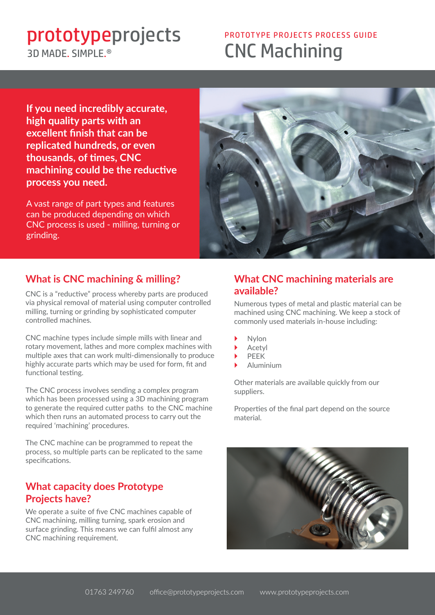## 3D MADE SIMPLE<sup>®</sup>

# **Prototypeprojects** PROTOTYPE PROJECTS SUIDE 3D MADE. SIMPLE.<sup>®</sup>

**If you need incredibly accurate, high quality parts with an excellent finish that can be replicated hundreds, or even thousands, of times, CNC machining could be the reductive process you need.**

A vast range of part types and features can be produced depending on which CNC process is used - milling, turning or grinding.



## **What is CNC machining & milling?**

CNC is a "reductive" process whereby parts are produced via physical removal of material using computer controlled milling, turning or grinding by sophisticated computer controlled machines.

CNC machine types include simple mills with linear and rotary movement, lathes and more complex machines with multiple axes that can work multi-dimensionally to produce highly accurate parts which may be used for form, fit and functional testing.

The CNC process involves sending a complex program which has been processed using a 3D machining program to generate the required cutter paths to the CNC machine which then runs an automated process to carry out the required 'machining' procedures.

The CNC machine can be programmed to repeat the process, so multiple parts can be replicated to the same specifications.

#### **What capacity does Prototype Projects have?**

We operate a suite of five CNC machines capable of CNC machining, milling turning, spark erosion and surface grinding. This means we can fulfil almost any CNC machining requirement.

### **What CNC machining materials are available?**

Numerous types of metal and plastic material can be machined using CNC machining. We keep a stock of commonly used materials in-house including:

- **Nylon**
- **Acetyl**
- **PEEK**
- ` Aluminium

Other materials are available quickly from our suppliers.

Properties of the final part depend on the source material.